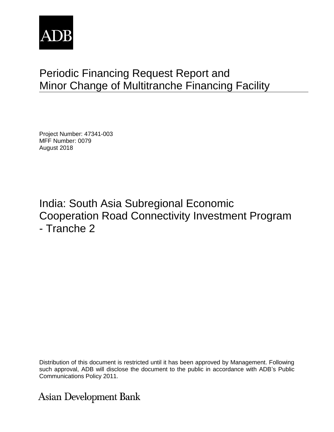

# Periodic Financing Request Report and Minor Change of Multitranche Financing Facility

Project Number: 47341-003 MFF Number: 0079 August 2018

India: South Asia Subregional Economic Cooperation Road Connectivity Investment Program - Tranche 2

Distribution of this document is restricted until it has been approved by Management. Following such approval, ADB will disclose the document to the public in accordance with ADB's Public Communications Policy 2011.

**Asian Development Bank**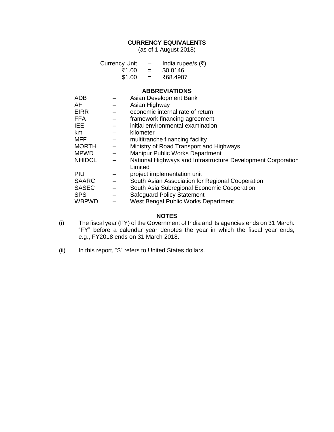# **CURRENCY EQUIVALENTS**

(as of 1 August 2018)

| <b>Currency Unit</b> |     | India rupee/s $(\bar{\tau})$ |
|----------------------|-----|------------------------------|
| ₹1.00                | $=$ | \$0.0146                     |
| \$1.00               | $=$ | ₹68.4907                     |

#### **ABBREVIATIONS**

| ADB           |                          | Asian Development Bank                                                  |
|---------------|--------------------------|-------------------------------------------------------------------------|
| AH            |                          | Asian Highway                                                           |
| <b>EIRR</b>   |                          | economic internal rate of return                                        |
| <b>FFA</b>    |                          | framework financing agreement                                           |
| <b>IEE</b>    |                          | initial environmental examination                                       |
| km            |                          | kilometer                                                               |
| MFF           |                          | multitranche financing facility                                         |
| <b>MORTH</b>  |                          | Ministry of Road Transport and Highways                                 |
| <b>MPWD</b>   | $\overline{\phantom{0}}$ | <b>Manipur Public Works Department</b>                                  |
| <b>NHIDCL</b> |                          | National Highways and Infrastructure Development Corporation<br>Limited |
| PIU           |                          | project implementation unit                                             |
| <b>SAARC</b>  |                          | South Asian Association for Regional Cooperation                        |
| <b>SASEC</b>  | $\equiv$                 | South Asia Subregional Economic Cooperation                             |
| <b>SPS</b>    | $\qquad \qquad -$        | <b>Safeguard Policy Statement</b>                                       |
| <b>WBPWD</b>  |                          | West Bengal Public Works Department                                     |

## **NOTES**

- (i) The fiscal year (FY) of the Government of India and its agencies ends on 31 March. "FY" before a calendar year denotes the year in which the fiscal year ends, e.g., FY2018 ends on 31 March 2018.
- (ii) In this report, "\$" refers to United States dollars.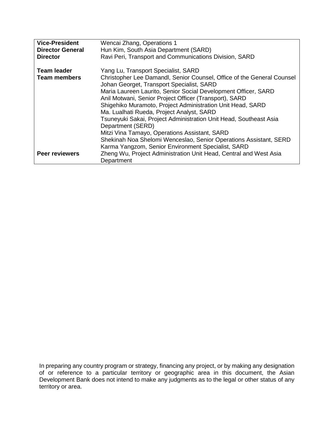| <b>Vice-President</b>   | Wencai Zhang, Operations 1                                                                                          |
|-------------------------|---------------------------------------------------------------------------------------------------------------------|
| <b>Director General</b> | Hun Kim, South Asia Department (SARD)                                                                               |
| <b>Director</b>         | Ravi Peri, Transport and Communications Division, SARD                                                              |
| <b>Team leader</b>      | Yang Lu, Transport Specialist, SARD                                                                                 |
| <b>Team members</b>     | Christopher Lee Damandl, Senior Counsel, Office of the General Counsel<br>Johan Georget, Transport Specialist, SARD |
|                         | Maria Laureen Laurito, Senior Social Development Officer, SARD                                                      |
|                         | Anil Motwani, Senior Project Officer (Transport), SARD                                                              |
|                         | Shigehiko Muramoto, Project Administration Unit Head, SARD<br>Ma. Lualhati Rueda, Project Analyst, SARD             |
|                         | Tsuneyuki Sakai, Project Administration Unit Head, Southeast Asia                                                   |
|                         | Department (SERD)                                                                                                   |
|                         | Mitzi Vina Tamayo, Operations Assistant, SARD                                                                       |
|                         | Shekinah Noa Shelomi Wenceslao, Senior Operations Assistant, SERD                                                   |
|                         | Karma Yangzom, Senior Environment Specialist, SARD                                                                  |
| <b>Peer reviewers</b>   | Zheng Wu, Project Administration Unit Head, Central and West Asia                                                   |
|                         | Department                                                                                                          |

In preparing any country program or strategy, financing any project, or by making any designation of or reference to a particular territory or geographic area in this document, the Asian Development Bank does not intend to make any judgments as to the legal or other status of any territory or area.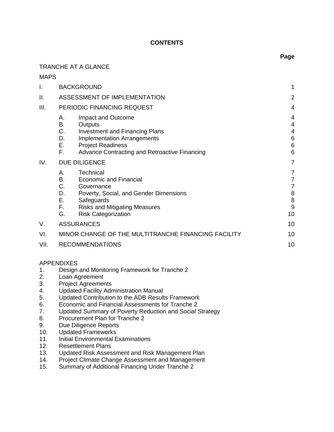## **CONTENTS**

# TRANCHE AT A GLANCE

MAPS

| Ι.   | <b>BACKGROUND</b>                                                                                                                                                                                                                | 1                                |
|------|----------------------------------------------------------------------------------------------------------------------------------------------------------------------------------------------------------------------------------|----------------------------------|
| ΙΙ.  | ASSESSMENT OF IMPLEMENTATION                                                                                                                                                                                                     | $\overline{2}$                   |
| III. | PERIODIC FINANCING REQUEST                                                                                                                                                                                                       | 4                                |
|      | Impact and Outcome<br>А.<br>B.<br>Outputs<br>C.<br><b>Investment and Financing Plans</b><br>D.<br><b>Implementation Arrangements</b><br>Ε.<br><b>Project Readiness</b><br>F.<br>Advance Contracting and Retroactive Financing    | 4<br>4<br>4<br>6<br>6<br>6       |
| IV.  | <b>DUE DILIGENCE</b>                                                                                                                                                                                                             | 7                                |
|      | Technical<br>Α.<br>B.<br><b>Economic and Financial</b><br>C.<br>Governance<br>D.<br>Poverty, Social, and Gender Dimensions<br>Е.<br>Safeguards<br>F.<br><b>Risks and Mitigating Measures</b><br>G.<br><b>Risk Categorization</b> | 7<br>7<br>7<br>8<br>8<br>9<br>10 |
| V.   | <b>ASSURANCES</b>                                                                                                                                                                                                                | 10                               |
| VI.  | MINOR CHANGE OF THE MULTITRANCHE FINANCING FACILITY                                                                                                                                                                              | 10                               |
| VII. | <b>RECOMMENDATIONS</b>                                                                                                                                                                                                           | 10                               |

#### APPENDIXES

- 1. Design and Monitoring Framework for Tranche 2
- 2. Loan Agreement
- 3. Project Agreements
- 4. Updated Facility Administration Manual
- 5. Updated Contribution to the ADB Results Framework
- 6. Economic and Financial Assessments for Tranche 2
- 7. Updated Summary of Poverty Reduction and Social Strategy
- 8. Procurement Plan for Tranche 2<br>9. Due Diligence Reports
- Due Diligence Reports
- 10. Updated Frameworks
- 11. Initial Environmental Examinations
- 12. Resettlement Plans
- 13. Updated Risk Assessment and Risk Management Plan
- 14. Project Climate Change Assessment and Management<br>15. Summary of Additional Financing Under Tranche 2
- Summary of Additional Financing Under Tranche 2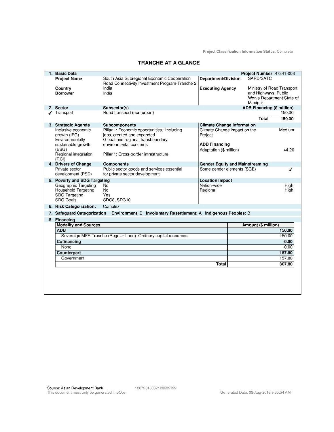Project Classification Information Status: Complete

| 1. Basic Data                |                                                                                               |                                        | Project Number: 47341-003         |        |
|------------------------------|-----------------------------------------------------------------------------------------------|----------------------------------------|-----------------------------------|--------|
| <b>Project Name</b>          | South Asia Subregional Economic Cooperation<br>Road Connectivity Investment Program-Tranche 2 | Department/Division                    | SARD/SATC                         |        |
| Country                      | India                                                                                         | <b>Executing Agency</b>                | Ministry of Road Transport        |        |
| <b>Borrower</b>              | India                                                                                         |                                        | and Highways, Public              |        |
|                              |                                                                                               |                                        | Works Department State of         |        |
|                              |                                                                                               |                                        | Manipur                           |        |
| 2. Sector                    | Subsector(s)                                                                                  |                                        | <b>ADB Financing (\$ million)</b> |        |
| Transport                    | Road transport (non-urban)                                                                    |                                        |                                   | 150.00 |
|                              |                                                                                               |                                        | Total                             | 150.00 |
| 3. Strategic Agenda          | Subcomponents                                                                                 | <b>Climate Change Information</b>      |                                   |        |
| Inclusive economic           | Pillar 1: Economic opportunities, including                                                   | Climate Change impact on the           |                                   | Medium |
| growth (IEG)                 | jobs, created and expanded                                                                    | Project                                |                                   |        |
| Environmentally              | Global and regional transboundary                                                             |                                        |                                   |        |
| sustainable growth           | environmental concerns                                                                        | <b>ADB Financing</b>                   |                                   |        |
| (ESG)                        |                                                                                               | Adaptation (\$ million)                |                                   | 44.20  |
| Regional integration         | Pillar 1: Cross-border infrastructure                                                         |                                        |                                   |        |
| (RCI)                        |                                                                                               |                                        |                                   |        |
| 4. Drivers of Change         | <b>Components</b>                                                                             | <b>Gender Equity and Mainstreaming</b> |                                   |        |
| Private sector               | Public sector goods and services essential                                                    | Some gender elements (SGE)             |                                   | ◢      |
| development (PSD)            | for private sector development                                                                |                                        |                                   |        |
| 5. Poverty and SDG Targeting |                                                                                               | <b>Location Impact</b>                 |                                   |        |
| Geographic Targeting         | <b>No</b>                                                                                     | Nation-wide                            |                                   | High   |
| Household Targeting          | No                                                                                            | Regional                               |                                   | High   |
| <b>SDG Targeting</b>         | Yes                                                                                           |                                        |                                   |        |
| <b>SDG Goals</b>             | SDG8, SDG10                                                                                   |                                        |                                   |        |
| 6. Risk Categorization:      | Complex                                                                                       |                                        |                                   |        |
|                              | 7. Safeguard Categorization Environment: B Involuntary Resettlement: A Indigenous Peoples: B  |                                        |                                   |        |
| 8. Financing                 |                                                                                               |                                        |                                   |        |
| <b>Modality and Sources</b>  |                                                                                               |                                        | Amount (\$ million)               |        |
| <b>ADB</b>                   |                                                                                               |                                        |                                   | 150.00 |
|                              | Sovereign MFF-Tranche (Regular Loan): Ordinary capital resources                              |                                        |                                   | 150.00 |
| Cofinancing                  |                                                                                               |                                        |                                   | 0.00   |
| None                         |                                                                                               |                                        |                                   | 0.00   |
| Counterpart                  |                                                                                               |                                        |                                   | 157.80 |
| Government                   |                                                                                               |                                        |                                   | 157.80 |
|                              |                                                                                               | <b>Total</b>                           |                                   | 307.80 |
|                              |                                                                                               |                                        |                                   |        |
|                              |                                                                                               |                                        |                                   |        |
|                              |                                                                                               |                                        |                                   |        |
|                              |                                                                                               |                                        |                                   |        |
|                              |                                                                                               |                                        |                                   |        |
|                              |                                                                                               |                                        |                                   |        |

#### **TRANCHE AT A GLANCE**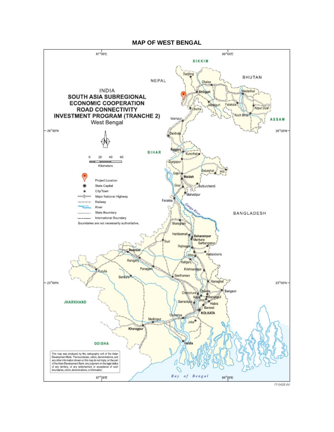#### **MAP OF WEST BENGAL**

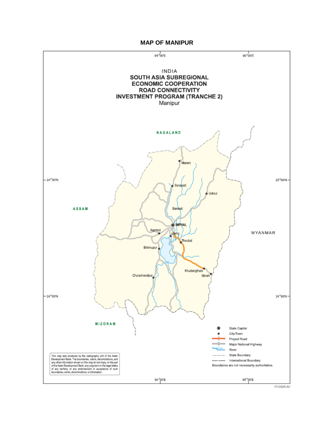#### **MAP OF MANIPUR**



17-0428 AV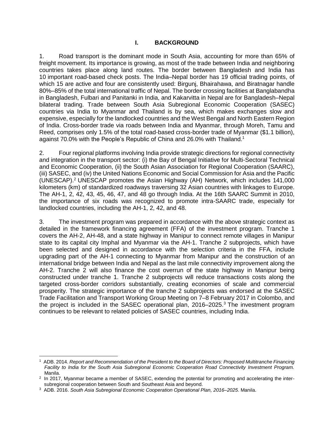## **I. BACKGROUND**

<span id="page-8-0"></span>1. Road transport is the dominant mode in South Asia, accounting for more than 65% of freight movement. Its importance is growing, as most of the trade between India and neighboring countries takes place along land routes. The border between Bangladesh and India has 10 important road-based check posts. The India–Nepal border has 19 official trading points, of which 15 are active and four are consistently used: Birgunj, Bhairahawa, and Biratnagar handle 80%–85% of the total international traffic of Nepal. The border crossing facilities at Banglabandha in Bangladesh, Fulbari and Panitanki in India, and Kakarvitta in Nepal are for Bangladesh–Nepal bilateral trading. Trade between South Asia Subregional Economic Cooperation (SASEC) countries via India to Myanmar and Thailand is by sea, which makes exchanges slow and expensive, especially for the landlocked countries and the West Bengal and North Eastern Region of India. Cross-border trade via roads between India and Myanmar, through Moreh, Tamu and Reed, comprises only 1.5% of the total road-based cross-border trade of Myanmar (\$1.1 billion), against 70.0% with the People's Republic of China and 26.0% with Thailand.<sup>1</sup>

2. Four regional platforms involving India provide strategic directions for regional connectivity and integration in the transport sector: (i) the Bay of Bengal Initiative for Multi-Sectoral Technical and Economic Cooperation, (ii) the South Asian Association for Regional Cooperation (SAARC), (iii) SASEC, and (iv) the United Nations Economic and Social Commission for Asia and the Pacific (UNESCAP). <sup>2</sup> UNESCAP promotes the Asian Highway (AH) Network, which includes 141,000 kilometers (km) of standardized roadways traversing 32 Asian countries with linkages to Europe. The AH-1, 2, 42, 43, 45, 46, 47, and 48 go through India. At the 16th SAARC Summit in 2010, the importance of six roads was recognized to promote intra-SAARC trade, especially for landlocked countries, including the AH-1, 2, 42, and 48.

3. The investment program was prepared in accordance with the above strategic context as detailed in the framework financing agreement (FFA) of the investment program. Tranche 1 covers the AH-2, AH-48, and a state highway in Manipur to connect remote villages in Manipur state to its capital city Imphal and Myanmar via the AH-1. Tranche 2 subprojects, which have been selected and designed in accordance with the selection criteria in the FFA, include upgrading part of the AH-1 connecting to Myanmar from Manipur and the construction of an international bridge between India and Nepal as the last mile connectivity improvement along the AH-2. Tranche 2 will also finance the cost overrun of the state highway in Manipur being constructed under tranche 1. Tranche 2 subprojects will reduce transactions costs along the targeted cross-border corridors substantially, creating economies of scale and commercial prosperity. The strategic importance of the tranche 2 subprojects was endorsed at the SASEC Trade Facilitation and Transport Working Group Meeting on 7–8 February 2017 in Colombo, and the project is included in the SASEC operational plan, 2016–2025.<sup>3</sup> The investment program continues to be relevant to related policies of SASEC countries, including India.

<sup>1</sup> ADB. 2014. *Report and Recommendation of the President to the Board of Directors: Proposed Multitranche Financing Facility to India for the South Asia Subregional Economic Cooperation Road Connectivity Investment Program.* Manila.

<sup>&</sup>lt;sup>2</sup> In 2017, Myanmar became a member of SASEC, extending the potential for promoting and accelerating the intersubregional cooperation between South and Southeast Asia and beyond.

<sup>3</sup> ADB. 2016. *South Asia Subregional Economic Cooperation Operational Plan, 2016–2025*. Manila.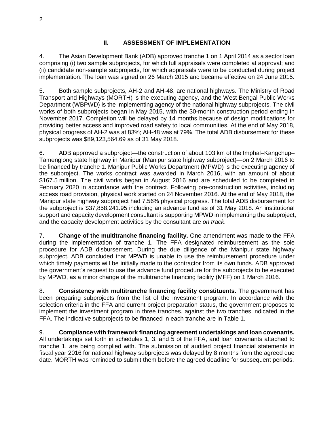# **II. ASSESSMENT OF IMPLEMENTATION**

<span id="page-9-0"></span>4. The Asian Development Bank (ADB) approved tranche 1 on 1 April 2014 as a sector loan comprising (i) two sample subprojects, for which full appraisals were completed at approval; and (ii) candidate non-sample subprojects, for which appraisals were to be conducted during project implementation. The loan was signed on 26 March 2015 and became effective on 24 June 2015.

5. Both sample subprojects, AH-2 and AH-48, are national highways. The Ministry of Road Transport and Highways (MORTH) is the executing agency, and the West Bengal Public Works Department (WBPWD) is the implementing agency of the national highway subprojects. The civil works of both subprojects began in May 2015, with the 30-month construction period ending in November 2017. Completion will be delayed by 14 months because of design modifications for providing better access and improved road safety to local communities. At the end of May 2018, physical progress of AH-2 was at 83%; AH-48 was at 79%. The total ADB disbursement for these subprojects was \$89,123,564.69 as of 31 May 2018.

6. ADB approved a subproject—the construction of about 103 km of the Imphal–Kangchup– Tamenglong state highway in Manipur (Manipur state highway subproject)—on 2 March 2016 to be financed by tranche 1. Manipur Public Works Department (MPWD) is the executing agency of the subproject. The works contract was awarded in March 2016, with an amount of about \$167.5 million. The civil works began in August 2016 and are scheduled to be completed in February 2020 in accordance with the contract. Following pre-construction activities, including access road provision, physical work started on 24 November 2016. At the end of May 2018, the Manipur state highway subproject had 7.56% physical progress. The total ADB disbursement for the subproject is \$37,858,241.95 including an advance fund as of 31 May 2018. An institutional support and capacity development consultant is supporting MPWD in implementing the subproject, and the capacity development activities by the consultant are *on track*.

7. **Change of the multitranche financing facility.** One amendment was made to the FFA during the implementation of tranche 1. The FFA designated reimbursement as the sole procedure for ADB disbursement. During the due diligence of the Manipur state highway subproject, ADB concluded that MPWD is unable to use the reimbursement procedure under which timely payments will be initially made to the contractor from its own funds. ADB approved the government's request to use the advance fund procedure for the subprojects to be executed by MPWD, as a minor change of the multitranche financing facility (MFF) on 1 March 2016.

8. **Consistency with multitranche financing facility constituents.** The government has been preparing subprojects from the list of the investment program. In accordance with the selection criteria in the FFA and current project preparation status, the government proposes to implement the investment program in three tranches, against the two tranches indicated in the FFA. The indicative subprojects to be financed in each tranche are in Table 1.

9. **Compliance with framework financing agreement undertakings and loan covenants.** All undertakings set forth in schedules 1, 3, and 5 of the FFA, and loan covenants attached to tranche 1, are being complied with. The submission of audited project financial statements in fiscal year 2016 for national highway subprojects was delayed by 8 months from the agreed due date. MORTH was reminded to submit them before the agreed deadline for subsequent periods.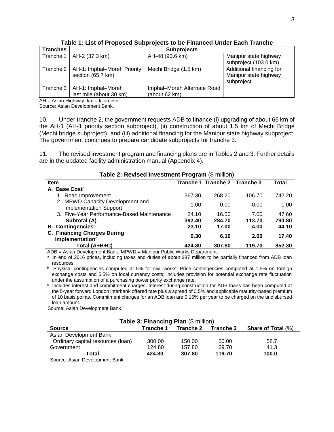| <b>Tranches</b> |                                         | <b>Subprojects</b>          |                          |
|-----------------|-----------------------------------------|-----------------------------|--------------------------|
| Tranche 1       | AH-2 (37.3 km)                          | AH-48 (90.6 km)             | Manipur state highway    |
|                 |                                         |                             | subproject (103.0 km)    |
|                 | Tranche 2   AH-1: Imphal-Moreh Priority | Mechi Bridge (1.5 km)       | Additional financing for |
|                 | section (65.7 km)                       |                             | Manipur state highway    |
|                 |                                         |                             | subproject               |
| Tranche 3       | AH-1: Imphal-Moreh                      | Imphal-Moreh Alternate Road |                          |
|                 | last mile (about 30 km)                 | (about 62 km)               |                          |

**Table 1: List of Proposed Subprojects to be Financed Under Each Tranche** 

 $AH = Asian Highway, km = kilometer.$ Source: Asian Development Bank.

10. Under tranche 2, the government requests ADB to finance (i) upgrading of about 66 km of the AH-1 (AH-1 priority section subproject), (ii) construction of about 1.5 km of Mechi Bridge (Mechi bridge subproject), and (iii) additional financing for the Manipur state highway subproject. The government continues to prepare candidate subprojects for tranche 3.

11. The revised investment program and financing plans are in Tables 2 and 3. Further details are in the updated facility administration manual (Appendix 4).

| $1$ abic 2. Nevised investment FTOGram ( $\phi$ minion)           |        |                               |        |        |  |
|-------------------------------------------------------------------|--------|-------------------------------|--------|--------|--|
| <b>Item</b>                                                       |        | Tranche 1 Tranche 2 Tranche 3 |        | Total  |  |
| A. Base Cost <sup>a</sup>                                         |        |                               |        |        |  |
| 1. Road Improvement                                               | 367.30 | 268.20                        | 106.70 | 742.20 |  |
| 2. MPWD Capacity Development and<br><b>Implementation Support</b> | 1.00   | 0.00                          | 0.00   | 1.00   |  |
| 3. Five-Year Performance-Based Maintenance                        | 24.10  | 16.50                         | 7.00   | 47.60  |  |
| Subtotal (A)                                                      | 392.40 | 284.70                        | 113.70 | 790.80 |  |
| <b>B.</b> Contingencies <sup>b</sup>                              | 23.10  | 17.00                         | 4.00   | 44.10  |  |
| C. Financing Charges During<br>Implementation $\circ$             | 9.30   | 6.10                          | 2.00   | 17.40  |  |
| Total (A+B+C)                                                     | 424.80 | 307.80                        | 119.70 | 852.30 |  |

## **Table 2: Revised Investment Program** (\$ million)

ADB = Asian Development Bank, MPWD = Manipur Public Works Department.

<sup>a</sup> In end of 2016 prices, including taxes and duties of about \$87 million to be partially financed from ADB loan resources.

b Physical contingencies computed at 5% for civil works. Price contingencies computed at 1.5% on foreign exchange costs and 5.5% on local currency costs; includes provision for potential exchange rate fluctuation under the assumption of a purchasing power parity exchange rate.

c Includes interest and commitment charges. Interest during construction for ADB loans has been computed at the 5-year forward London interbank offered rate plus a spread of 0.5% and applicable maturity-based premium of 10 basis points. Commitment charges for an ADB loan are 0.15% per year to be charged on the undisbursed loan amount.

Source: Asian Development Bank.

| <b>Table 3: Financing Plan (\$ million)</b>  |           |           |           |                           |  |  |  |
|----------------------------------------------|-----------|-----------|-----------|---------------------------|--|--|--|
| <b>Source</b>                                | Tranche 1 | Tranche 2 | Tranche 3 | <b>Share of Total (%)</b> |  |  |  |
| Asian Development Bank                       |           |           |           |                           |  |  |  |
| Ordinary capital resources (loan)            | 300.00    | 150.00    | 50.00     | 58.7                      |  |  |  |
| Government                                   | 124.80    | 157.80    | 69.70     | 41.3                      |  |  |  |
| 119.70<br>100.0<br>307.80<br>424.80<br>Total |           |           |           |                           |  |  |  |

Source: Asian Development Bank.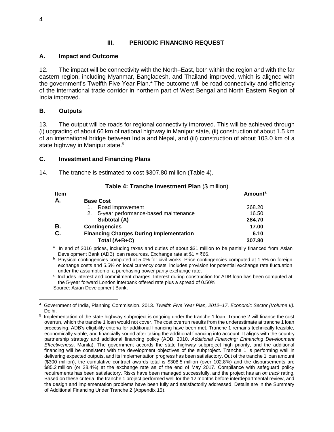# **III. PERIODIC FINANCING REQUEST**

## <span id="page-11-1"></span><span id="page-11-0"></span>**A. Impact and Outcome**

12. The impact will be connectivity with the North–East, both within the region and with the far eastern region, including Myanmar, Bangladesh, and Thailand improved, which is aligned with the government's Twelfth Five Year Plan.<sup>4</sup> The outcome will be road connectivity and efficiency of the international trade corridor in northern part of West Bengal and North Eastern Region of India improved.

## <span id="page-11-2"></span>**B. Outputs**

13. The output will be roads for regional connectivity improved. This will be achieved through (i) upgrading of about 66 km of national highway in Manipur state, (ii) construction of about 1.5 km of an international bridge between India and Nepal, and (iii) construction of about 103.0 km of a state highway in Manipur state.<sup>5</sup>

## <span id="page-11-3"></span>**C. Investment and Financing Plans**

14. The tranche is estimated to cost \$307.80 million (Table 4).

| Item |                                                | <b>Amount</b> <sup>a</sup> |
|------|------------------------------------------------|----------------------------|
|      | <b>Base Cost</b>                               |                            |
|      | Road improvement<br>1.                         | 268.20                     |
|      | 2. 5-year performance-based maintenance        | 16.50                      |
|      | Subtotal (A)                                   | 284.70                     |
| В.   | <b>Contingencies</b>                           | 17.00                      |
| C.   | <b>Financing Charges During Implementation</b> | 6.10                       |
|      | Total (A+B+C)                                  | 307.80                     |
|      |                                                |                            |

#### **Table 4: Tranche Investment Plan** (\$ million)

<sup>a</sup> In end of 2016 prices, including taxes and duties of about \$31 million to be partially financed from Asian Development Bank (ADB) loan resources. Exchange rate at \$1 = ₹66.

<sup>b</sup> Physical contingencies computed at 5.0% for civil works. Price contingencies computed at 1.5% on foreign exchange costs and 5.5% on local currency costs; includes provision for potential exchange rate fluctuation under the assumption of a purchasing power parity exchange rate.

c Includes interest and commitment charges. Interest during construction for ADB loan has been computed at the 5-year forward London interbank offered rate plus a spread of 0.50%. Source: Asian Development Bank.

 $\overline{a}$ 4 Government of India, Planning Commission. 2013. *Twelfth Five Year Plan, 2012–17*. *Economic Sector (Volume II).* Delhi.

<sup>&</sup>lt;sup>5</sup> Implementation of the state highway subproject is ongoing under the tranche 1 loan. Tranche 2 will finance the cost overrun, which the tranche 1 loan would not cover. The cost overrun results from the underestimate at tranche 1 loan processing. ADB's eligibility criteria for additional financing have been met. Tranche 1 remains technically feasible, economically viable, and financially sound after taking the additional financing into account. It aligns with the country partnership strategy and additional financing policy (ADB. 2010. *Additional Financing: Enhancing Development Effectiveness*. Manila). The government accords the state highway subproject high priority, and the additional financing will be consistent with the development objectives of the subproject. Tranche 1 is performing well in delivering expected outputs, and its implementation progress has been satisfactory. Out of the tranche 1 loan amount (\$300 million), the cumulative contract awards total is \$308.5 million (over 102.8%) and the disbursements are \$85.2 million (or 28.4%) at the exchange rate as of the end of May 2017. Compliance with safeguard policy requirements has been satisfactory. Risks have been managed successfully, and the project has an *on track* rating. Based on these criteria, the tranche 1 project performed well for the 12 months before interdepartmental review, and the design and implementation problems have been fully and satisfactorily addressed. Details are in the Summary of Additional Financing Under Tranche 2 (Appendix 15).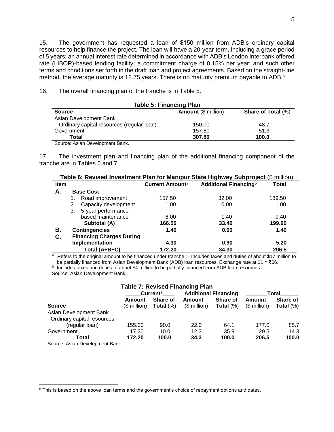15. The government has requested a loan of \$150 million from ADB's ordinary capital resources to help finance the project. The loan will have a 20-year term, including a grace period of 5 years; an annual interest rate determined in accordance with ADB's London Interbank offered rate (LIBOR)-based lending facility; a commitment charge of 0.15% per year; and such other terms and conditions set forth in the draft loan and project agreements. Based on the straight-line method, the average maturity is 12.75 years. There is no maturity premium payable to ADB.<sup>6</sup>

16. The overall financing plan of the tranche is in Table 5.

| <b>Table 5: Financing Plan</b>            |                            |                           |  |  |  |
|-------------------------------------------|----------------------------|---------------------------|--|--|--|
| <b>Source</b>                             | <b>Amount (\$ million)</b> | <b>Share of Total (%)</b> |  |  |  |
| Asian Development Bank                    |                            |                           |  |  |  |
| Ordinary capital resources (regular loan) | 150.00                     | 48.7                      |  |  |  |
| Government                                | 157.80                     | 51.3                      |  |  |  |
| Total                                     | 307.80                     | 100.0                     |  |  |  |
| Source: Asian Development Bank.           |                            |                           |  |  |  |

17. The investment plan and financing plan of the additional financing component of the tranche are in Tables 6 and 7.

|             | Table 6: Revised Investment Plan for Manipur State Highway Subproject (\$ million) |                                 |                        |                                   |        |  |
|-------------|------------------------------------------------------------------------------------|---------------------------------|------------------------|-----------------------------------|--------|--|
| <b>Item</b> |                                                                                    |                                 | <b>Current Amounta</b> | Additional Financing <sup>b</sup> | Total  |  |
| А.          |                                                                                    | <b>Base Cost</b>                |                        |                                   |        |  |
|             | 1.                                                                                 | Road improvement                | 157.50                 | 32.00                             | 189.50 |  |
|             | 2.                                                                                 | Capacity development            | 1.00                   | 0.00                              | 1.00   |  |
|             | 3.                                                                                 | 5-year performance-             |                        |                                   |        |  |
|             |                                                                                    | based maintenance               | 8.00                   | 1.40                              | 9.40   |  |
|             |                                                                                    | Subtotal (A)                    | 166.50                 | 33.40                             | 199.90 |  |
| В.          |                                                                                    | <b>Contingencies</b>            | 1.40                   | 0.00                              | 1.40   |  |
| C.          |                                                                                    | <b>Financing Charges During</b> |                        |                                   |        |  |
|             |                                                                                    | Implementation                  | 4.30                   | 0.90                              | 5.20   |  |
|             |                                                                                    | Total (A+B+C)                   | 172.20                 | 34.30                             | 206.5  |  |

a Refers to the original amount to be financed under tranche 1. Includes taxes and duties of about \$17 million to be partially financed from Asian Development Bank (ADB) loan resources. Exchange rate at \$1 = ₹66. **b** Includes taxes and duties of about \$4 million to be partially financed from ADB loan resources.

Source: Asian Development Bank.

| <b>Table 7: Revised Financing Plan</b> |                                                     |              |               |              |              |              |
|----------------------------------------|-----------------------------------------------------|--------------|---------------|--------------|--------------|--------------|
|                                        | <b>Additional Financing</b><br>Current <sup>a</sup> |              |               | Total        |              |              |
|                                        | Amount                                              | Share of     | Amount        | Share of     | Amount       | Share of     |
| <b>Source</b>                          | (\$ million)                                        | Total $(\%)$ | $($$ million) | Total $(\%)$ | $$$ million) | Total $(\%)$ |
| Asian Development Bank                 |                                                     |              |               |              |              |              |
| Ordinary capital resources             |                                                     |              |               |              |              |              |
| (regular loan)                         | 155.00                                              | 90.0         | 22.0          | 64.1         | 177.0        | 85.7         |
| Government                             | 17.20                                               | 10.0         | 12.3          | 35.9         | 29.5         | 14.3         |
| Total                                  | 172.20                                              | 100.0        | 34.3          | 100.0        | 206.5        | 100.0        |

Source: Asian Development Bank.

 $6$  This is based on the above loan terms and the government's choice of repayment options and dates.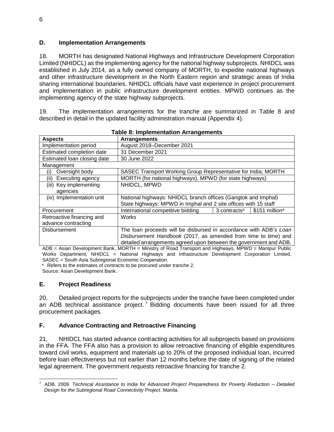# <span id="page-13-0"></span>**D. Implementation Arrangements**

18. MORTH has designated National Highways and Infrastructure Development Corporation Limited (NHIDCL) as the implementing agency for the national highway subprojects. NHIDCL was established in July 2014, as a fully owned company of MORTH, to expedite national highways and other infrastructure development in the North Eastern region and strategic areas of India sharing international boundaries. NHIDCL officials have vast experience in project procurement and implementation in public infrastructure development entities. MPWD continues as the implementing agency of the state highway subprojects.

19. The implementation arrangements for the tranche are summarized in Table 8 and described in detail in the updated facility administration manual (Appendix 4).

| rapie o. mipiementation Arrangements |                                                                   |                          |                             |
|--------------------------------------|-------------------------------------------------------------------|--------------------------|-----------------------------|
| <b>Aspects</b>                       | <b>Arrangements</b>                                               |                          |                             |
| Implementation period                | August 2018-December 2021                                         |                          |                             |
| Estimated completion date            | 31 December 2021                                                  |                          |                             |
| Estimated loan closing date          | 30 June 2022                                                      |                          |                             |
| Management                           |                                                                   |                          |                             |
| Oversight body<br>(i)                | SASEC Transport Working Group Representative for India; MORTH     |                          |                             |
| Executing agency<br>(ii)             | MORTH (for national highways), MPWD (for state highways)          |                          |                             |
| (iii) Key implementing               | NHIDCL, MPWD                                                      |                          |                             |
| agencies                             |                                                                   |                          |                             |
| (iv) Implementation unit             | National highways: NHIDCL branch offices (Gangtok and Imphal)     |                          |                             |
|                                      | State highways: MPWD in Imphal and 2 site offices with 15 staff   |                          |                             |
| Procurement                          | International competitive bidding                                 | 3 contracts <sup>a</sup> | $$151$ million <sup>a</sup> |
| Retroactive financing and            | <b>Works</b>                                                      |                          |                             |
| advance contracting                  |                                                                   |                          |                             |
| <b>Disbursement</b>                  | The loan proceeds will be disbursed in accordance with ADB's Loan |                          |                             |
|                                      | Disbursement Handbook (2017, as amended from time to time) and    |                          |                             |
|                                      | detailed arrangements agreed upon between the government and ADB. |                          |                             |

**Table 8: Implementation Arrangements**

ADB = Asian Development Bank, MORTH = Ministry of Road Transport and Highways, MPWD = Manipur Public Works Department, NHIDCL = National Highways and Infrastructure Development Corporation Limited, SASEC = South Asia Subregional Economic Cooperation.

<sup>a</sup> Refers to the estimates of contracts to be procured under tranche 2. Source: Asian Development Bank.

## <span id="page-13-1"></span>**E. Project Readiness**

20. Detailed project reports for the subprojects under the tranche have been completed under an ADB technical assistance project.<sup>7</sup> Bidding documents have been issued for all three procurement packages.

# <span id="page-13-2"></span>**F. Advance Contracting and Retroactive Financing**

21. NHIDCL has started advance contracting activities for all subprojects based on provisions in the FFA. The FFA also has a provision to allow retroactive financing of eligible expenditures toward civil works, equipment and materials up to 20% of the proposed individual loan, incurred before loan effectiveness but not earlier than 12 months before the date of signing of the related legal agreement. The government requests retroactive financing for tranche 2.

 $\overline{a}$ <sup>7</sup> ADB. 2009. *Technical Assistance to India for Advanced Project Preparedness for Poverty Reduction – Detailed Design for the Subregional Road Connectivity Project*. Manila.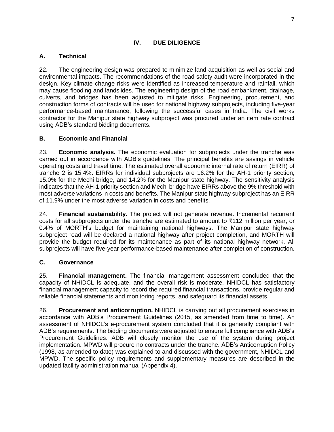# **IV. DUE DILIGENCE**

# <span id="page-14-1"></span><span id="page-14-0"></span>**A. Technical**

22. The engineering design was prepared to minimize land acquisition as well as social and environmental impacts. The recommendations of the road safety audit were incorporated in the design. Key climate change risks were identified as increased temperature and rainfall, which may cause flooding and landslides. The engineering design of the road embankment, drainage, culverts, and bridges has been adjusted to mitigate risks. Engineering, procurement, and construction forms of contracts will be used for national highway subprojects, including five-year performance-based maintenance, following the successful cases in India. The civil works contractor for the Manipur state highway subproject was procured under an item rate contract using ADB's standard bidding documents.

# <span id="page-14-2"></span>**B. Economic and Financial**

23. **Economic analysis.** The economic evaluation for subprojects under the tranche was carried out in accordance with ADB's guidelines. The principal benefits are savings in vehicle operating costs and travel time. The estimated overall economic internal rate of return (EIRR) of tranche 2 is 15.4%. EIRRs for individual subprojects are 16.2% for the AH-1 priority section, 15.0% for the Mechi bridge, and 14.2% for the Manipur state highway. The sensitivity analysis indicates that the AH-1 priority section and Mechi bridge have EIRRs above the 9% threshold with most adverse variations in costs and benefits. The Manipur state highway subproject has an EIRR of 11.9% under the most adverse variation in costs and benefits.

24. **Financial sustainability.** The project will not generate revenue. Incremental recurrent costs for all subprojects under the tranche are estimated to amount to ₹112 million per year, or 0.4% of MORTH's budget for maintaining national highways. The Manipur state highway subproject road will be declared a national highway after project completion, and MORTH will provide the budget required for its maintenance as part of its national highway network. All subprojects will have five-year performance-based maintenance after completion of construction.

# <span id="page-14-3"></span>**C. Governance**

25. **Financial management.** The financial management assessment concluded that the capacity of NHIDCL is adequate, and the overall risk is moderate. NHIDCL has satisfactory financial management capacity to record the required financial transactions, provide regular and reliable financial statements and monitoring reports, and safeguard its financial assets.

26. **Procurement and anticorruption.** NHIDCL is carrying out all procurement exercises in accordance with ADB's Procurement Guidelines (2015, as amended from time to time). An assessment of NHIDCL's e-procurement system concluded that it is generally compliant with ADB's requirements. The bidding documents were adjusted to ensure full compliance with ADB's Procurement Guidelines. ADB will closely monitor the use of the system during project implementation. MPWD will procure no contracts under the tranche. ADB's Anticorruption Policy (1998, as amended to date) was explained to and discussed with the government, NHIDCL and MPWD. The specific policy requirements and supplementary measures are described in the updated facility administration manual (Appendix 4).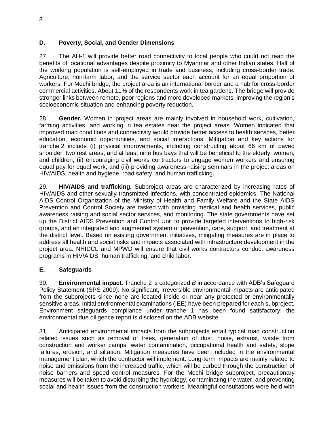# <span id="page-15-0"></span>**D. Poverty, Social, and Gender Dimensions**

27. The AH-1 will provide better road connectivity to local people who could not reap the benefits of locational advantages despite proximity to Myanmar and other Indian states. Half of the working population is self-employed in trade and business, including cross-border trade. Agriculture, non-farm labor, and the service sector each account for an equal proportion of workers. For Mechi bridge, the project area is an international border and a hub for cross-border commercial activities. About 11% of the respondents work in tea gardens. The bridge will provide stronger links between remote, poor regions and more developed markets, improving the region's socioeconomic situation and enhancing poverty reduction.

28. **Gender.** Women in project areas are mainly involved in household work, cultivation, farming activities, and working in tea estates near the project areas. Women indicated that improved road conditions and connectivity would provide better access to health services, better education, economic opportunities, and social interactions. Mitigation and key actions for tranche 2 include (i) physical improvements, including constructing about 66 km of paved shoulder, two rest areas, and at least nine bus bays that will be beneficial to the elderly, women, and children; (ii) encouraging civil works contractors to engage women workers and ensuring equal pay for equal work; and (iii) providing awareness-raising seminars in the project areas on HIV/AIDS, health and hygiene, road safety, and human trafficking.

29. **HIV/AIDS and trafficking.** Subproject areas are characterized by increasing rates of HIV/AIDS and other sexually transmitted infections, with concentrated epidemics. The National AIDS Control Organization of the Ministry of Health and Family Welfare and the State AIDS Prevention and Control Society are tasked with providing medical and health services, public awareness raising and social sector services, and monitoring. The state governments have set up the District AIDS Prevention and Control Unit to provide targeted interventions to high-risk groups, and an integrated and augmented system of prevention, care, support, and treatment at the district level. Based on existing government initiatives, mitigating measures are in place to address all health and social risks and impacts associated with infrastructure development in the project area. NHIDCL and MPWD will ensure that civil works contractors conduct awareness programs in HIV/AIDS, human trafficking, and child labor.

# <span id="page-15-1"></span>**E. Safeguards**

30. **Environmental impact**. Tranche 2 is categorized *B* in accordance with ADB's Safeguard Policy Statement (SPS 2009). No significant, irreversible environmental impacts are anticipated from the subprojects since none are located inside or near any protected or environmentally sensitive areas. Initial environmental examinations (IEE) have been prepared for each subproject. Environment safeguards compliance under tranche 1 has been found satisfactory; the environmental due diligence report is disclosed on the ADB website.

31. Anticipated environmental impacts from the subprojects entail typical road construction related issues such as removal of trees, generation of dust, noise, exhaust, waste from construction and worker camps, water contamination, occupational health and safety, slope failures, erosion, and siltation. Mitigation measures have been included in the environmental management plan, which the contractor will implement. Long-term impacts are mainly related to noise and emissions from the increased traffic, which will be curbed through the construction of noise barriers and speed control measures. For the Mechi bridge subproject, precautionary measures will be taken to avoid disturbing the hydrology, contaminating the water, and preventing social and health issues from the construction workers. Meaningful consultations were held with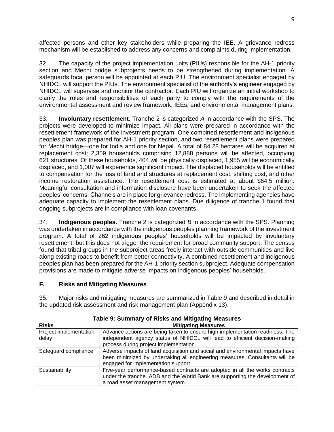affected persons and other key stakeholders while preparing the IEE. A grievance redress mechanism will be established to address any concerns and complaints during implementation.

32. The capacity of the project implementation units (PIUs) responsible for the AH-1 priority section and Mechi bridge subprojects needs to be strengthened during implementation. A safeguards focal person will be appointed at each PIU. The environment specialist engaged by NHIDCL will support the PIUs. The environment specialist of the authority's engineer engaged by NHIDCL will supervise and monitor the contractor. Each PIU will organize an initial workshop to clarify the roles and responsibilities of each party to comply with the requirements of the environmental assessment and review framework, IEEs, and environmental management plans.

33. **Involuntary resettlement.** Tranche 2 is categorized *A* in accordance with the SPS. The projects were developed to minimize impact. All plans were prepared in accordance with the resettlement framework of the investment program. One combined resettlement and indigenous peoples plan was prepared for AH-1 priority section, and two resettlement plans were prepared for Mechi bridge—one for India and one for Nepal. A total of 84.28 hectares will be acquired at replacement cost; 2,359 households comprising 12,888 persons will be affected, occupying 621 structures. Of these households, 404 will be physically displaced, 1,955 will be economically displaced, and 1,007 will experience significant impact. The displaced households will be entitled to compensation for the loss of land and structures at replacement cost, shifting cost, and other income restoration assistance. The resettlement cost is estimated at about \$64.5 million. Meaningful consultation and information disclosure have been undertaken to seek the affected peoples' concerns. Channels are in place for grievance redress. The implementing agencies have adequate capacity to implement the resettlement plans. Due diligence of tranche 1 found that ongoing subprojects are in compliance with loan covenants.

34. **Indigenous peoples.** Tranche 2 is categorized *B* in accordance with the SPS. Planning was undertaken in accordance with the indigenous peoples planning framework of the investment program. A total of 262 indigenous peoples' households will be impacted by involuntary resettlement, but this does not trigger the requirement for broad community support. The census found that tribal groups in the subproject areas freely interact with outside communities and live along existing roads to benefit from better connectivity. A combined resettlement and indigenous peoples plan has been prepared for the AH-1 priority section subproject. Adequate compensation provisions are made to mitigate adverse impacts on indigenous peoples' households.

## <span id="page-16-0"></span>**F. Risks and Mitigating Measures**

35. Major risks and mitigating measures are summarized in Table 9 and described in detail in the updated risk assessment and risk management plan (Appendix 13).

| <b>Risks</b>                    | <b>Mitigating Measures</b>                                                                                                                                                                           |  |
|---------------------------------|------------------------------------------------------------------------------------------------------------------------------------------------------------------------------------------------------|--|
| Project implementation<br>delay | Advance actions are being taken to ensure high implementation readiness. The<br>independent agency status of NHIDCL will lead to efficient decision-making<br>process during project implementation. |  |
| Safeguard compliance            | Adverse impacts of land acquisition and social and environmental impacts have<br>been minimized by undertaking all engineering measures. Consultants will be<br>engaged for implementation support.  |  |
| Sustainability                  | Five-year performance-based contracts are adopted in all the works contracts<br>under the tranche. ADB and the World Bank are supporting the development of<br>a road asset management system.       |  |

**Table 9: Summary of Risks and Mitigating Measures**